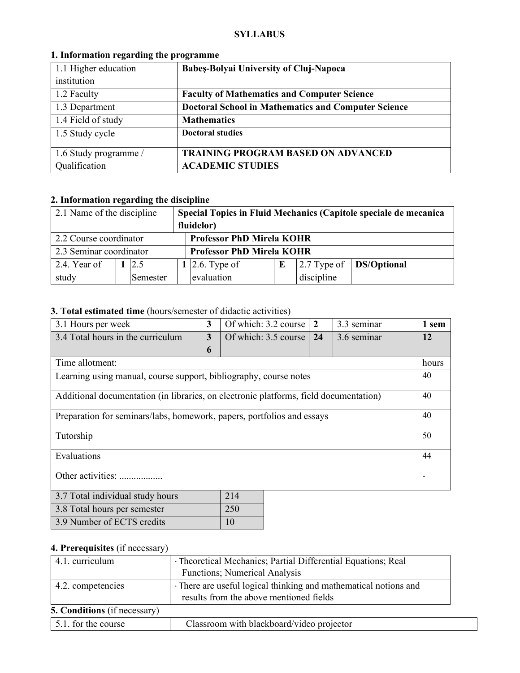#### **SYLLABUS**

| 1.1 Higher education  | <b>Babes-Bolyai University of Cluj-Napoca</b>              |
|-----------------------|------------------------------------------------------------|
| institution           |                                                            |
| 1.2 Faculty           | <b>Faculty of Mathematics and Computer Science</b>         |
| 1.3 Department        | <b>Doctoral School in Mathematics and Computer Science</b> |
| 1.4 Field of study    | <b>Mathematics</b>                                         |
| 1.5 Study cycle       | <b>Doctoral studies</b>                                    |
|                       |                                                            |
| 1.6 Study programme / | <b>TRAINING PROGRAM BASED ON ADVANCED</b>                  |
| Qualification         | <b>ACADEMIC STUDIES</b>                                    |

# **1. Information regarding the programme**

# **2. Information regarding the discipline**

| 2.1 Name of the discipline |                                                            |          |                                  |                |  |               | Special Topics in Fluid Mechanics (Capitole speciale de mecanica |
|----------------------------|------------------------------------------------------------|----------|----------------------------------|----------------|--|---------------|------------------------------------------------------------------|
|                            |                                                            |          | fluidelor)                       |                |  |               |                                                                  |
|                            | <b>Professor PhD Mirela KOHR</b><br>2.2 Course coordinator |          |                                  |                |  |               |                                                                  |
| 2.3 Seminar coordinator    |                                                            |          | <b>Professor PhD Mirela KOHR</b> |                |  |               |                                                                  |
| 2.4. Year of               |                                                            | 12.5     |                                  | 1 2.6. Type of |  | $2.7$ Type of | <b>DS/Optional</b>                                               |
| study                      |                                                            | Semester |                                  | evaluation     |  | discipline    |                                                                  |

## **3. Total estimated time** (hours/semester of didactic activities)

| 3.1 Hours per week                                                                    | 3            | Of which: 3.2 course | $\overline{2}$ | 3.3 seminar |    | 1 sem |
|---------------------------------------------------------------------------------------|--------------|----------------------|----------------|-------------|----|-------|
| 3.4 Total hours in the curriculum                                                     | $\mathbf{3}$ | Of which: 3.5 course | 24             | 3.6 seminar |    | 12    |
|                                                                                       | 6            |                      |                |             |    |       |
| Time allotment:                                                                       |              |                      |                |             |    | hours |
| Learning using manual, course support, bibliography, course notes                     |              |                      |                |             | 40 |       |
| Additional documentation (in libraries, on electronic platforms, field documentation) |              |                      |                |             |    | 40    |
| Preparation for seminars/labs, homework, papers, portfolios and essays                |              |                      |                |             | 40 |       |
| Tutorship                                                                             |              |                      |                |             | 50 |       |
| Evaluations                                                                           |              |                      |                |             | 44 |       |
| Other activities:                                                                     |              |                      |                |             |    |       |
| 214<br>3.7 Total individual study hours                                               |              |                      |                |             |    |       |
|                                                                                       |              |                      |                |             |    |       |

| $3.7$ Total marviagal staay noms | $\sim$ 1 T      |
|----------------------------------|-----------------|
| 3.8 Total hours per semester     | 250             |
| 3.9 Number of ECTS credits       | 10 <sup>°</sup> |

### **4. Prerequisites** (if necessary)

| 4.1. curriculum                     | · Theoretical Mechanics; Partial Differential Equations; Real<br>Functions; Numerical Analysis              |  |  |  |
|-------------------------------------|-------------------------------------------------------------------------------------------------------------|--|--|--|
| 4.2. competencies                   | · There are useful logical thinking and mathematical notions and<br>results from the above mentioned fields |  |  |  |
| <b>5. Conditions</b> (if necessary) |                                                                                                             |  |  |  |
| 5.1. for the course                 | Classroom with blackboard/video projector                                                                   |  |  |  |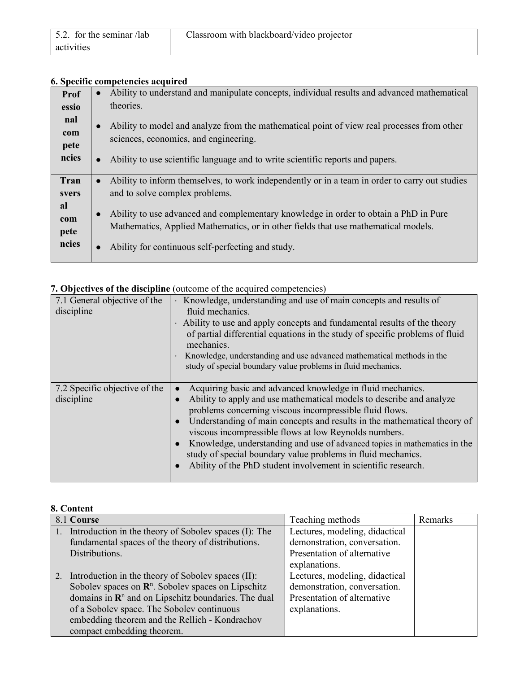| 5.2. for the seminar /lab | Classroom with blackboard/video projector |
|---------------------------|-------------------------------------------|
| activities                |                                           |

## **6. Specific competencies acquired**

| Prof  | Ability to understand and manipulate concepts, individual results and advanced mathematical<br>$\bullet$    |
|-------|-------------------------------------------------------------------------------------------------------------|
| essio | theories.                                                                                                   |
| nal   | Ability to model and analyze from the mathematical point of view real processes from other<br>$\bullet$     |
| com   | sciences, economics, and engineering.                                                                       |
| pete  |                                                                                                             |
| ncies | Ability to use scientific language and to write scientific reports and papers.<br>$\bullet$                 |
|       |                                                                                                             |
|       |                                                                                                             |
| Tran  | Ability to inform themselves, to work independently or in a team in order to carry out studies<br>$\bullet$ |
| svers | and to solve complex problems.                                                                              |
| al    | $\bullet$                                                                                                   |
| com   | Ability to use advanced and complementary knowledge in order to obtain a PhD in Pure                        |
| pete  | Mathematics, Applied Mathematics, or in other fields that use mathematical models.                          |
| ncies | Ability for continuous self-perfecting and study.                                                           |

| 7.1 General objective of the<br>discipline  | · Knowledge, understanding and use of main concepts and results of<br>fluid mechanics.<br>· Ability to use and apply concepts and fundamental results of the theory<br>of partial differential equations in the study of specific problems of fluid<br>mechanics.<br>Knowledge, understanding and use advanced mathematical methods in the<br>study of special boundary value problems in fluid mechanics.                                                                                                                                                                                            |
|---------------------------------------------|-------------------------------------------------------------------------------------------------------------------------------------------------------------------------------------------------------------------------------------------------------------------------------------------------------------------------------------------------------------------------------------------------------------------------------------------------------------------------------------------------------------------------------------------------------------------------------------------------------|
| 7.2 Specific objective of the<br>discipline | Acquiring basic and advanced knowledge in fluid mechanics.<br>$\bullet$<br>Ability to apply and use mathematical models to describe and analyze<br>$\bullet$<br>problems concerning viscous incompressible fluid flows.<br>Understanding of main concepts and results in the mathematical theory of<br>$\bullet$<br>viscous incompressible flows at low Reynolds numbers.<br>Knowledge, understanding and use of advanced topics in mathematics in the<br>$\bullet$<br>study of special boundary value problems in fluid mechanics.<br>Ability of the PhD student involvement in scientific research. |

### **7. Objectives of the discipline** (outcome of the acquired competencies)

| 8. Content                                                      |                                |         |  |  |  |
|-----------------------------------------------------------------|--------------------------------|---------|--|--|--|
| 8.1 Course                                                      | Teaching methods               | Remarks |  |  |  |
| 1. Introduction in the theory of Sobolev spaces (I): The        | Lectures, modeling, didactical |         |  |  |  |
| fundamental spaces of the theory of distributions.              | demonstration, conversation.   |         |  |  |  |
| Distributions.                                                  | Presentation of alternative    |         |  |  |  |
|                                                                 | explanations.                  |         |  |  |  |
| 2. Introduction in the theory of Sobolev spaces (II):           | Lectures, modeling, didactical |         |  |  |  |
| Sobolev spaces on $\mathbb{R}^n$ . Sobolev spaces on Lipschitz  | demonstration, conversation.   |         |  |  |  |
| domains in $\mathbb{R}^n$ and on Lipschitz boundaries. The dual | Presentation of alternative    |         |  |  |  |
| of a Sobolev space. The Sobolev continuous                      | explanations.                  |         |  |  |  |
| embedding theorem and the Rellich - Kondrachov                  |                                |         |  |  |  |
| compact embedding theorem.                                      |                                |         |  |  |  |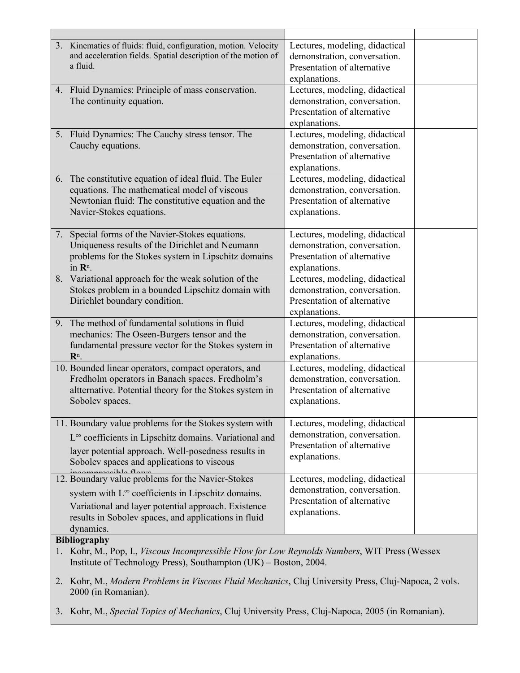| 3. Kinematics of fluids: fluid, configuration, motion. Velocity<br>and acceleration fields. Spatial description of the motion of<br>a fluid.                                                                                                                        | Lectures, modeling, didactical<br>demonstration, conversation.<br>Presentation of alternative<br>explanations. |
|---------------------------------------------------------------------------------------------------------------------------------------------------------------------------------------------------------------------------------------------------------------------|----------------------------------------------------------------------------------------------------------------|
| 4. Fluid Dynamics: Principle of mass conservation.<br>The continuity equation.                                                                                                                                                                                      | Lectures, modeling, didactical<br>demonstration, conversation.<br>Presentation of alternative<br>explanations. |
| 5. Fluid Dynamics: The Cauchy stress tensor. The<br>Cauchy equations.                                                                                                                                                                                               | Lectures, modeling, didactical<br>demonstration, conversation.<br>Presentation of alternative<br>explanations. |
| 6. The constitutive equation of ideal fluid. The Euler<br>equations. The mathematical model of viscous<br>Newtonian fluid: The constitutive equation and the<br>Navier-Stokes equations.                                                                            | Lectures, modeling, didactical<br>demonstration, conversation.<br>Presentation of alternative<br>explanations. |
| Special forms of the Navier-Stokes equations.<br>7.<br>Uniqueness results of the Dirichlet and Neumann<br>problems for the Stokes system in Lipschitz domains<br>in R <sup>n</sup> .                                                                                | Lectures, modeling, didactical<br>demonstration, conversation.<br>Presentation of alternative<br>explanations. |
| 8. Variational approach for the weak solution of the<br>Stokes problem in a bounded Lipschitz domain with<br>Dirichlet boundary condition.                                                                                                                          | Lectures, modeling, didactical<br>demonstration, conversation.<br>Presentation of alternative<br>explanations. |
| 9. The method of fundamental solutions in fluid<br>mechanics: The Oseen-Burgers tensor and the<br>fundamental pressure vector for the Stokes system in<br>R <sup>n</sup> .                                                                                          | Lectures, modeling, didactical<br>demonstration, conversation.<br>Presentation of alternative<br>explanations. |
| 10. Bounded linear operators, compact operators, and<br>Fredholm operators in Banach spaces. Fredholm's<br>altternative. Potential theory for the Stokes system in<br>Sobolev spaces.                                                                               | Lectures, modeling, didactical<br>demonstration, conversation.<br>Presentation of alternative<br>explanations. |
| 11. Boundary value problems for the Stokes system with<br>L <sup>∞</sup> coefficients in Lipschitz domains. Variational and<br>layer potential approach. Well-posedness results in<br>Sobolev spaces and applications to viscous                                    | Lectures, modeling, didactical<br>demonstration, conversation.<br>Presentation of alternative<br>explanations. |
| 12. Boundary value problems for the Navier-Stokes<br>system with $L^{\infty}$ coefficients in Lipschitz domains.<br>Variational and layer potential approach. Existence<br>results in Sobolev spaces, and applications in fluid<br>dynamics.<br><b>Bibliography</b> | Lectures, modeling, didactical<br>demonstration, conversation.<br>Presentation of alternative<br>explanations. |
| 1. Kohr, M., Pop, I., Viscous Incompressible Flow for Low Reynolds Numbers, WIT Press (Wessex                                                                                                                                                                       |                                                                                                                |

- Institute of Technology Press), Southampton (UK) Boston, 2004.
- 2. Kohr, M., *Modern Problems in Viscous Fluid Mechanics*, Cluj University Press, Cluj-Napoca, 2 vols. 2000 (in Romanian).
- 3. Kohr, M., *Special Topics of Mechanics*, Cluj University Press, Cluj-Napoca, 2005 (in Romanian).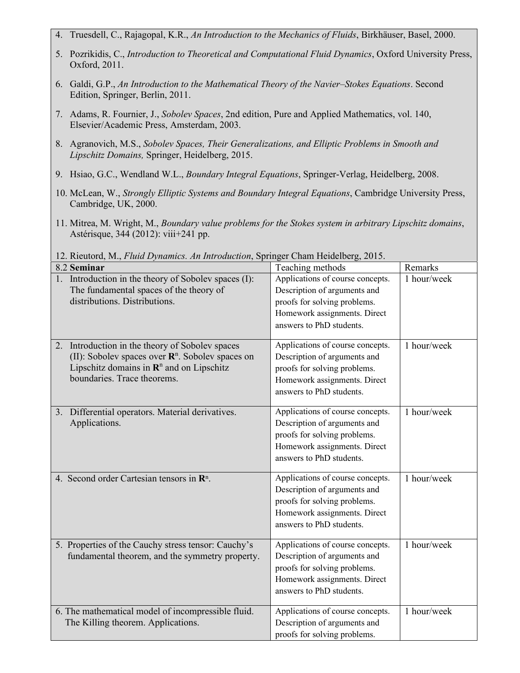- 4. Truesdell, C., Rajagopal, K.R., *An Introduction to the Mechanics of Fluids*, Birkhäuser, Basel, 2000.
- 5. Pozrikidis, C., *Introduction to Theoretical and Computational Fluid Dynamics*, Oxford University Press, Oxford, 2011.
- 6. Galdi, G.P., *An Introduction to the Mathematical Theory of the Navier–Stokes Equations*. Second Edition, Springer, Berlin, 2011.
- 7. Adams, R. Fournier, J., *Sobolev Spaces*, 2nd edition, Pure and Applied Mathematics, vol. 140, Elsevier/Academic Press, Amsterdam, 2003.
- 8. Agranovich, M.S., *Sobolev Spaces, Their Generalizations, and Elliptic Problems in Smooth and Lipschitz Domains,* Springer, Heidelberg, 2015.
- 9. Hsiao, G.C., Wendland W.L., *Boundary Integral Equations*, Springer-Verlag, Heidelberg, 2008.
- 10. McLean, W., *Strongly Elliptic Systems and Boundary Integral Equations*, Cambridge University Press, Cambridge, UK, 2000.
- 11. Mitrea, M. Wright, M., *Boundary value problems for the Stokes system in arbitrary Lipschitz domains*, Astérisque, 344 (2012): viii+241 pp.

12. Rieutord, M., *Fluid Dynamics. An Introduction*, Springer Cham Heidelberg, 2015.

| 12. KR and $\alpha$ , ivi., <i>I thin Dynamics. The thin balleton</i> , opting of Chain Herdenberg, 2019.<br>8.2 Seminar                                                                               | Teaching methods                                                                                                                                             | Remarks     |
|--------------------------------------------------------------------------------------------------------------------------------------------------------------------------------------------------------|--------------------------------------------------------------------------------------------------------------------------------------------------------------|-------------|
| 1. Introduction in the theory of Sobolev spaces (I):<br>The fundamental spaces of the theory of<br>distributions. Distributions.                                                                       | Applications of course concepts.<br>Description of arguments and<br>proofs for solving problems.<br>Homework assignments. Direct<br>answers to PhD students. | 1 hour/week |
| 2. Introduction in the theory of Sobolev spaces<br>(II): Sobolev spaces over $\mathbb{R}^n$ . Sobolev spaces on<br>Lipschitz domains in $\mathbb{R}^n$ and on Lipschitz<br>boundaries. Trace theorems. | Applications of course concepts.<br>Description of arguments and<br>proofs for solving problems.<br>Homework assignments. Direct<br>answers to PhD students. | 1 hour/week |
| 3. Differential operators. Material derivatives.<br>Applications.                                                                                                                                      | Applications of course concepts.<br>Description of arguments and<br>proofs for solving problems.<br>Homework assignments. Direct<br>answers to PhD students. | 1 hour/week |
| 4. Second order Cartesian tensors in $\mathbb{R}^n$ .                                                                                                                                                  | Applications of course concepts.<br>Description of arguments and<br>proofs for solving problems.<br>Homework assignments. Direct<br>answers to PhD students. | 1 hour/week |
| 5. Properties of the Cauchy stress tensor: Cauchy's<br>fundamental theorem, and the symmetry property.                                                                                                 | Applications of course concepts.<br>Description of arguments and<br>proofs for solving problems.<br>Homework assignments. Direct<br>answers to PhD students. | 1 hour/week |
| 6. The mathematical model of incompressible fluid.<br>The Killing theorem. Applications.                                                                                                               | Applications of course concepts.<br>Description of arguments and<br>proofs for solving problems.                                                             | 1 hour/week |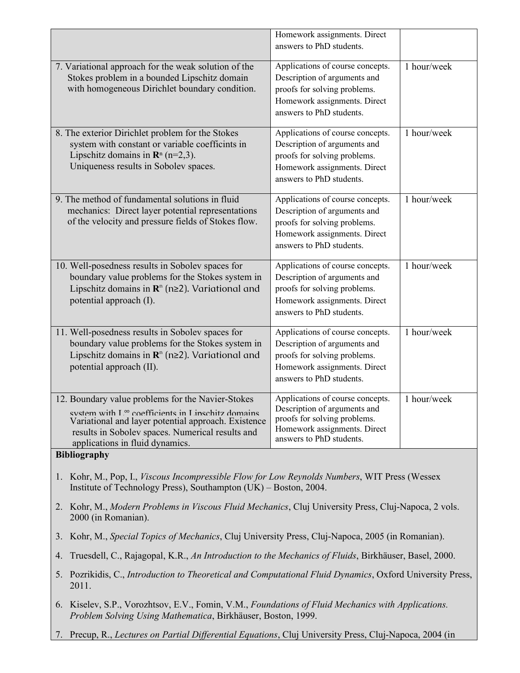|                                                                                                                                                                                                                                                               | Homework assignments. Direct<br>answers to PhD students.                                                                                                     |             |  |  |  |
|---------------------------------------------------------------------------------------------------------------------------------------------------------------------------------------------------------------------------------------------------------------|--------------------------------------------------------------------------------------------------------------------------------------------------------------|-------------|--|--|--|
| 7. Variational approach for the weak solution of the<br>Stokes problem in a bounded Lipschitz domain<br>with homogeneous Dirichlet boundary condition.                                                                                                        | Applications of course concepts.<br>Description of arguments and<br>proofs for solving problems.<br>Homework assignments. Direct<br>answers to PhD students. | 1 hour/week |  |  |  |
| 8. The exterior Dirichlet problem for the Stokes<br>system with constant or variable coefficints in<br>Lipschitz domains in $\mathbb{R}^n$ (n=2,3).<br>Uniqueness results in Sobolev spaces.                                                                  | Applications of course concepts.<br>Description of arguments and<br>proofs for solving problems.<br>Homework assignments. Direct<br>answers to PhD students. | 1 hour/week |  |  |  |
| 9. The method of fundamental solutions in fluid<br>mechanics: Direct layer potential representations<br>of the velocity and pressure fields of Stokes flow.                                                                                                   | Applications of course concepts.<br>Description of arguments and<br>proofs for solving problems.<br>Homework assignments. Direct<br>answers to PhD students. | 1 hour/week |  |  |  |
| 10. Well-posedness results in Sobolev spaces for<br>boundary value problems for the Stokes system in<br>Lipschitz domains in $\mathbb{R}^n$ (n≥2). Variational and<br>potential approach (I).                                                                 | Applications of course concepts.<br>Description of arguments and<br>proofs for solving problems.<br>Homework assignments. Direct<br>answers to PhD students. | 1 hour/week |  |  |  |
| 11. Well-posedness results in Sobolev spaces for<br>boundary value problems for the Stokes system in<br>Lipschitz domains in $\mathbb{R}^n$ (n≥2). Variational and<br>potential approach (II).                                                                | Applications of course concepts.<br>Description of arguments and<br>proofs for solving problems.<br>Homework assignments. Direct<br>answers to PhD students. | 1 hour/week |  |  |  |
| 12. Boundary value problems for the Navier-Stokes<br>system with $L^{\infty}$ coefficients in Linschitz domains<br>Variational and layer potential approach. Existence<br>results in Sobolev spaces. Numerical results and<br>applications in fluid dynamics. | Applications of course concepts.<br>Description of arguments and<br>proofs for solving problems.<br>Homework assignments. Direct<br>answers to PhD students. | 1 hour/week |  |  |  |
| <b>Bibliography</b>                                                                                                                                                                                                                                           |                                                                                                                                                              |             |  |  |  |
| 1. Kohr, M., Pop, I., Viscous Incompressible Flow for Low Reynolds Numbers, WIT Press (Wessex<br>Institute of Technology Press), Southampton (UK) – Boston, 2004.                                                                                             |                                                                                                                                                              |             |  |  |  |
| 2. Kohr, M., Modern Problems in Viscous Fluid Mechanics, Cluj University Press, Cluj-Napoca, 2 vols.<br>2000 (in Romanian).                                                                                                                                   |                                                                                                                                                              |             |  |  |  |
|                                                                                                                                                                                                                                                               | 3. Kohr, M., Special Topics of Mechanics, Cluj University Press, Cluj-Napoca, 2005 (in Romanian).                                                            |             |  |  |  |
| Truesdell, C., Rajagopal, K.R., An Introduction to the Mechanics of Fluids, Birkhäuser, Basel, 2000.<br>4.                                                                                                                                                    |                                                                                                                                                              |             |  |  |  |
| 5. Pozrikidis, C., Introduction to Theoretical and Computational Fluid Dynamics, Oxford University Press,<br>2011.                                                                                                                                            |                                                                                                                                                              |             |  |  |  |
| 6. Kiselev, S.P., Vorozhtsov, E.V., Fomin, V.M., Foundations of Fluid Mechanics with Applications.<br>Problem Solving Using Mathematica, Birkhäuser, Boston, 1999.                                                                                            |                                                                                                                                                              |             |  |  |  |

7. Precup, R., *Lectures on Partial Differential Equations*, Cluj University Press, Cluj-Napoca, 2004 (in